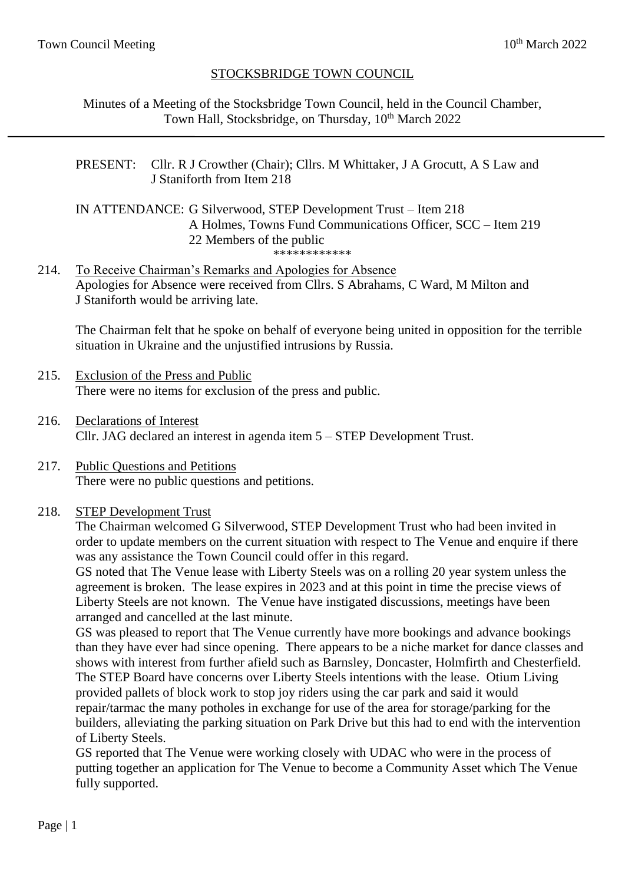# STOCKSBRIDGE TOWN COUNCIL

Minutes of a Meeting of the Stocksbridge Town Council, held in the Council Chamber, Town Hall, Stocksbridge, on Thursday, 10<sup>th</sup> March 2022

PRESENT: Cllr. R J Crowther (Chair); Cllrs. M Whittaker, J A Grocutt, A S Law and J Staniforth from Item 218

IN ATTENDANCE: G Silverwood, STEP Development Trust – Item 218 A Holmes, Towns Fund Communications Officer, SCC – Item 219 22 Members of the public \*\*\*\*\*\*\*\*\*\*\*\*

214. To Receive Chairman's Remarks and Apologies for Absence Apologies for Absence were received from Cllrs. S Abrahams, C Ward, M Milton and J Staniforth would be arriving late.

The Chairman felt that he spoke on behalf of everyone being united in opposition for the terrible situation in Ukraine and the unjustified intrusions by Russia.

- 215. Exclusion of the Press and Public There were no items for exclusion of the press and public.
- 216. Declarations of Interest Cllr. JAG declared an interest in agenda item 5 – STEP Development Trust.
- 217. Public Questions and Petitions There were no public questions and petitions.

#### 218. STEP Development Trust

The Chairman welcomed G Silverwood, STEP Development Trust who had been invited in order to update members on the current situation with respect to The Venue and enquire if there was any assistance the Town Council could offer in this regard.

GS noted that The Venue lease with Liberty Steels was on a rolling 20 year system unless the agreement is broken. The lease expires in 2023 and at this point in time the precise views of Liberty Steels are not known. The Venue have instigated discussions, meetings have been arranged and cancelled at the last minute.

GS was pleased to report that The Venue currently have more bookings and advance bookings than they have ever had since opening. There appears to be a niche market for dance classes and shows with interest from further afield such as Barnsley, Doncaster, Holmfirth and Chesterfield. The STEP Board have concerns over Liberty Steels intentions with the lease. Otium Living provided pallets of block work to stop joy riders using the car park and said it would repair/tarmac the many potholes in exchange for use of the area for storage/parking for the builders, alleviating the parking situation on Park Drive but this had to end with the intervention of Liberty Steels.

GS reported that The Venue were working closely with UDAC who were in the process of putting together an application for The Venue to become a Community Asset which The Venue fully supported.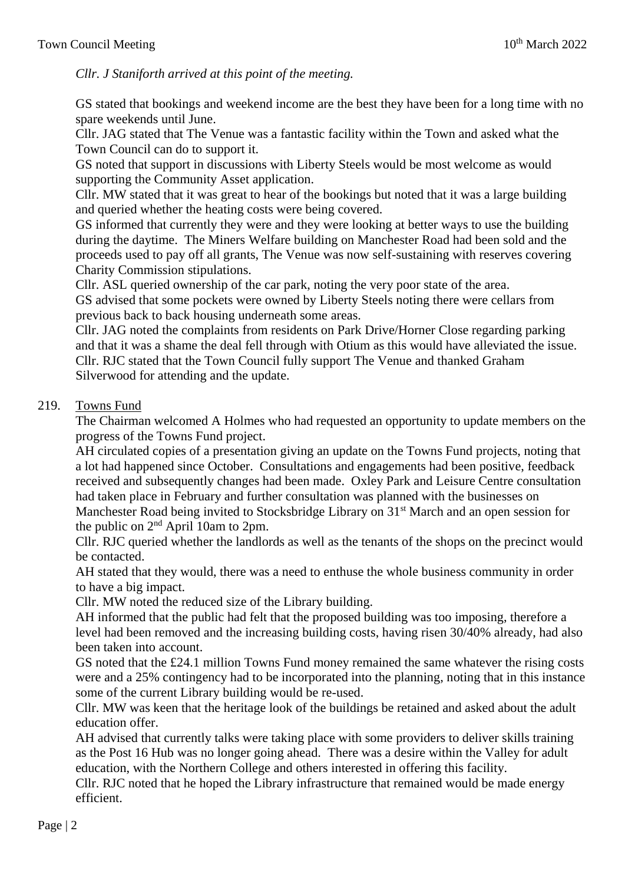*Cllr. J Staniforth arrived at this point of the meeting.*

GS stated that bookings and weekend income are the best they have been for a long time with no spare weekends until June.

Cllr. JAG stated that The Venue was a fantastic facility within the Town and asked what the Town Council can do to support it.

GS noted that support in discussions with Liberty Steels would be most welcome as would supporting the Community Asset application.

Cllr. MW stated that it was great to hear of the bookings but noted that it was a large building and queried whether the heating costs were being covered.

GS informed that currently they were and they were looking at better ways to use the building during the daytime. The Miners Welfare building on Manchester Road had been sold and the proceeds used to pay off all grants, The Venue was now self-sustaining with reserves covering Charity Commission stipulations.

Cllr. ASL queried ownership of the car park, noting the very poor state of the area. GS advised that some pockets were owned by Liberty Steels noting there were cellars from previous back to back housing underneath some areas.

Cllr. JAG noted the complaints from residents on Park Drive/Horner Close regarding parking and that it was a shame the deal fell through with Otium as this would have alleviated the issue. Cllr. RJC stated that the Town Council fully support The Venue and thanked Graham Silverwood for attending and the update.

## 219. Towns Fund

The Chairman welcomed A Holmes who had requested an opportunity to update members on the progress of the Towns Fund project.

AH circulated copies of a presentation giving an update on the Towns Fund projects, noting that a lot had happened since October. Consultations and engagements had been positive, feedback received and subsequently changes had been made. Oxley Park and Leisure Centre consultation had taken place in February and further consultation was planned with the businesses on Manchester Road being invited to Stocksbridge Library on 31<sup>st</sup> March and an open session for the public on  $2<sup>nd</sup>$  April 10am to 2pm.

Cllr. RJC queried whether the landlords as well as the tenants of the shops on the precinct would be contacted.

AH stated that they would, there was a need to enthuse the whole business community in order to have a big impact.

Cllr. MW noted the reduced size of the Library building.

AH informed that the public had felt that the proposed building was too imposing, therefore a level had been removed and the increasing building costs, having risen 30/40% already, had also been taken into account.

GS noted that the £24.1 million Towns Fund money remained the same whatever the rising costs were and a 25% contingency had to be incorporated into the planning, noting that in this instance some of the current Library building would be re-used.

Cllr. MW was keen that the heritage look of the buildings be retained and asked about the adult education offer.

AH advised that currently talks were taking place with some providers to deliver skills training as the Post 16 Hub was no longer going ahead. There was a desire within the Valley for adult education, with the Northern College and others interested in offering this facility.

Cllr. RJC noted that he hoped the Library infrastructure that remained would be made energy efficient.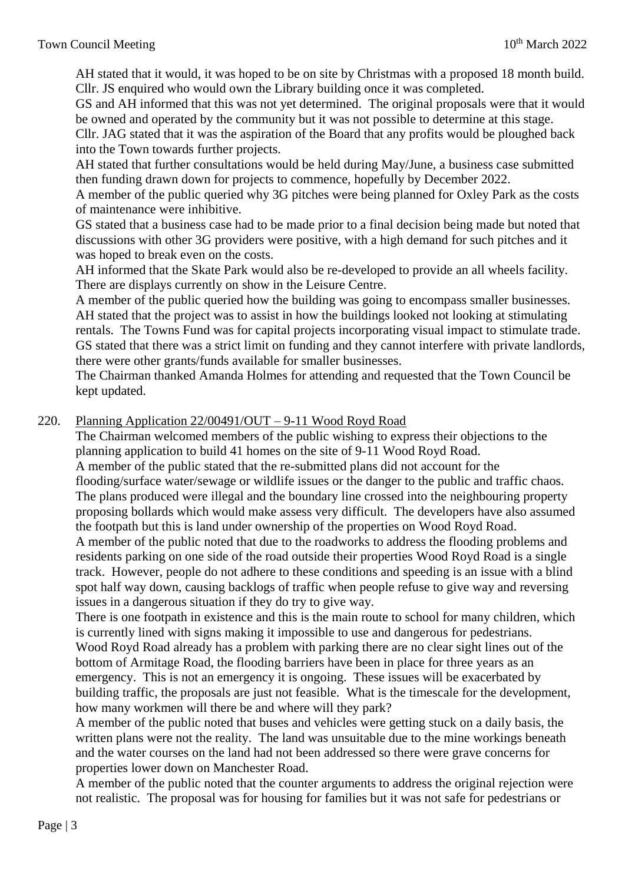AH stated that it would, it was hoped to be on site by Christmas with a proposed 18 month build. Cllr. JS enquired who would own the Library building once it was completed.

GS and AH informed that this was not yet determined. The original proposals were that it would be owned and operated by the community but it was not possible to determine at this stage.

Cllr. JAG stated that it was the aspiration of the Board that any profits would be ploughed back into the Town towards further projects.

AH stated that further consultations would be held during May/June, a business case submitted then funding drawn down for projects to commence, hopefully by December 2022.

A member of the public queried why 3G pitches were being planned for Oxley Park as the costs of maintenance were inhibitive.

GS stated that a business case had to be made prior to a final decision being made but noted that discussions with other 3G providers were positive, with a high demand for such pitches and it was hoped to break even on the costs.

AH informed that the Skate Park would also be re-developed to provide an all wheels facility. There are displays currently on show in the Leisure Centre.

A member of the public queried how the building was going to encompass smaller businesses. AH stated that the project was to assist in how the buildings looked not looking at stimulating rentals. The Towns Fund was for capital projects incorporating visual impact to stimulate trade. GS stated that there was a strict limit on funding and they cannot interfere with private landlords, there were other grants/funds available for smaller businesses.

The Chairman thanked Amanda Holmes for attending and requested that the Town Council be kept updated.

## 220. Planning Application 22/00491/OUT – 9-11 Wood Royd Road

The Chairman welcomed members of the public wishing to express their objections to the planning application to build 41 homes on the site of 9-11 Wood Royd Road.

A member of the public stated that the re-submitted plans did not account for the flooding/surface water/sewage or wildlife issues or the danger to the public and traffic chaos. The plans produced were illegal and the boundary line crossed into the neighbouring property proposing bollards which would make assess very difficult. The developers have also assumed the footpath but this is land under ownership of the properties on Wood Royd Road.

A member of the public noted that due to the roadworks to address the flooding problems and residents parking on one side of the road outside their properties Wood Royd Road is a single track. However, people do not adhere to these conditions and speeding is an issue with a blind spot half way down, causing backlogs of traffic when people refuse to give way and reversing issues in a dangerous situation if they do try to give way.

There is one footpath in existence and this is the main route to school for many children, which is currently lined with signs making it impossible to use and dangerous for pedestrians. Wood Royd Road already has a problem with parking there are no clear sight lines out of the bottom of Armitage Road, the flooding barriers have been in place for three years as an emergency. This is not an emergency it is ongoing. These issues will be exacerbated by building traffic, the proposals are just not feasible. What is the timescale for the development, how many workmen will there be and where will they park?

A member of the public noted that buses and vehicles were getting stuck on a daily basis, the written plans were not the reality. The land was unsuitable due to the mine workings beneath and the water courses on the land had not been addressed so there were grave concerns for properties lower down on Manchester Road.

A member of the public noted that the counter arguments to address the original rejection were not realistic. The proposal was for housing for families but it was not safe for pedestrians or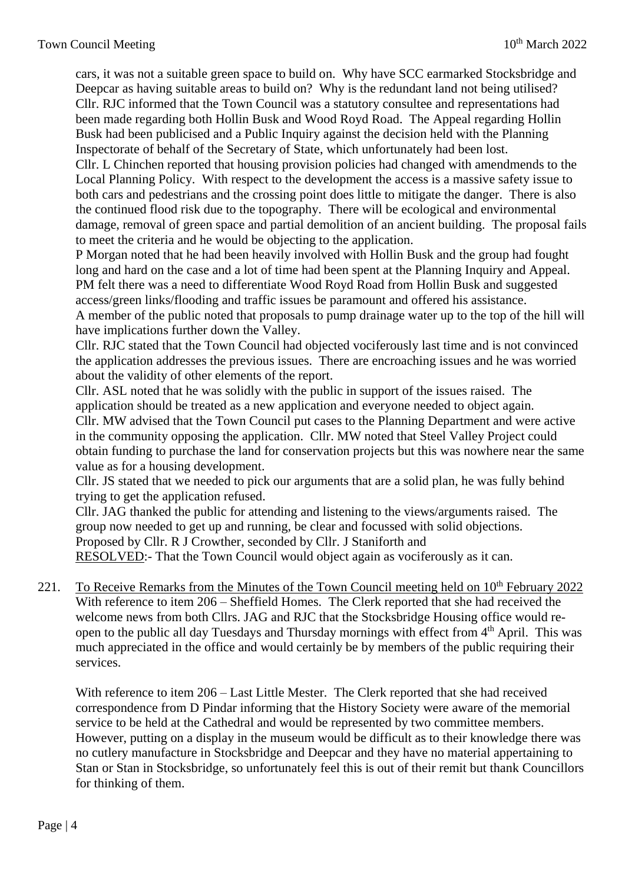cars, it was not a suitable green space to build on. Why have SCC earmarked Stocksbridge and Deepcar as having suitable areas to build on? Why is the redundant land not being utilised? Cllr. RJC informed that the Town Council was a statutory consultee and representations had been made regarding both Hollin Busk and Wood Royd Road. The Appeal regarding Hollin Busk had been publicised and a Public Inquiry against the decision held with the Planning Inspectorate of behalf of the Secretary of State, which unfortunately had been lost.

Cllr. L Chinchen reported that housing provision policies had changed with amendmends to the Local Planning Policy. With respect to the development the access is a massive safety issue to both cars and pedestrians and the crossing point does little to mitigate the danger. There is also the continued flood risk due to the topography. There will be ecological and environmental damage, removal of green space and partial demolition of an ancient building. The proposal fails to meet the criteria and he would be objecting to the application.

P Morgan noted that he had been heavily involved with Hollin Busk and the group had fought long and hard on the case and a lot of time had been spent at the Planning Inquiry and Appeal. PM felt there was a need to differentiate Wood Royd Road from Hollin Busk and suggested access/green links/flooding and traffic issues be paramount and offered his assistance. A member of the public noted that proposals to pump drainage water up to the top of the hill will

have implications further down the Valley.

Cllr. RJC stated that the Town Council had objected vociferously last time and is not convinced the application addresses the previous issues. There are encroaching issues and he was worried about the validity of other elements of the report.

Cllr. ASL noted that he was solidly with the public in support of the issues raised. The application should be treated as a new application and everyone needed to object again. Cllr. MW advised that the Town Council put cases to the Planning Department and were active in the community opposing the application. Cllr. MW noted that Steel Valley Project could obtain funding to purchase the land for conservation projects but this was nowhere near the same value as for a housing development.

Cllr. JS stated that we needed to pick our arguments that are a solid plan, he was fully behind trying to get the application refused.

Cllr. JAG thanked the public for attending and listening to the views/arguments raised. The group now needed to get up and running, be clear and focussed with solid objections. Proposed by Cllr. R J Crowther, seconded by Cllr. J Staniforth and RESOLVED:- That the Town Council would object again as vociferously as it can.

221. To Receive Remarks from the Minutes of the Town Council meeting held on 10<sup>th</sup> February 2022 With reference to item 206 – Sheffield Homes. The Clerk reported that she had received the welcome news from both Cllrs. JAG and RJC that the Stocksbridge Housing office would reopen to the public all day Tuesdays and Thursday mornings with effect from 4th April. This was much appreciated in the office and would certainly be by members of the public requiring their services.

With reference to item 206 – Last Little Mester. The Clerk reported that she had received correspondence from D Pindar informing that the History Society were aware of the memorial service to be held at the Cathedral and would be represented by two committee members. However, putting on a display in the museum would be difficult as to their knowledge there was no cutlery manufacture in Stocksbridge and Deepcar and they have no material appertaining to Stan or Stan in Stocksbridge, so unfortunately feel this is out of their remit but thank Councillors for thinking of them.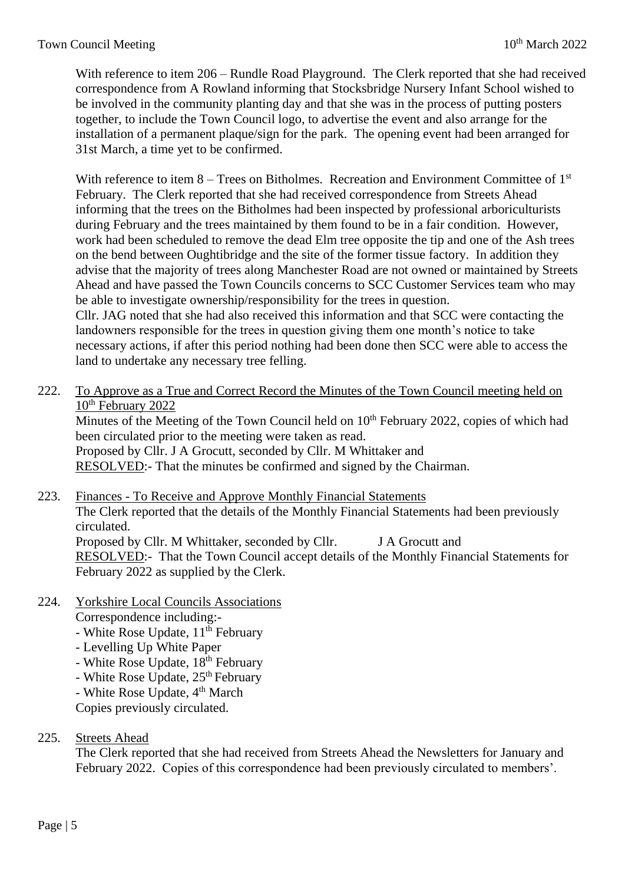With reference to item 206 – Rundle Road Playground. The Clerk reported that she had received correspondence from A Rowland informing that Stocksbridge Nursery Infant School wished to be involved in the community planting day and that she was in the process of putting posters together, to include the Town Council logo, to advertise the event and also arrange for the installation of a permanent plaque/sign for the park. The opening event had been arranged for 31st March, a time yet to be confirmed.

With reference to item  $8 -$  Trees on Bitholmes. Recreation and Environment Committee of  $1<sup>st</sup>$ February. The Clerk reported that she had received correspondence from Streets Ahead informing that the trees on the Bitholmes had been inspected by professional arboriculturists during February and the trees maintained by them found to be in a fair condition. However, work had been scheduled to remove the dead Elm tree opposite the tip and one of the Ash trees on the bend between Oughtibridge and the site of the former tissue factory. In addition they advise that the majority of trees along Manchester Road are not owned or maintained by Streets Ahead and have passed the Town Councils concerns to SCC Customer Services team who may be able to investigate ownership/responsibility for the trees in question. Cllr. JAG noted that she had also received this information and that SCC were contacting the landowners responsible for the trees in question giving them one month's notice to take

necessary actions, if after this period nothing had been done then SCC were able to access the land to undertake any necessary tree felling.

222. To Approve as a True and Correct Record the Minutes of the Town Council meeting held on 10<sup>th</sup> February 2022

Minutes of the Meeting of the Town Council held on 10<sup>th</sup> February 2022, copies of which had been circulated prior to the meeting were taken as read. Proposed by Cllr. J A Grocutt, seconded by Cllr. M Whittaker and RESOLVED:- That the minutes be confirmed and signed by the Chairman.

- 223. Finances To Receive and Approve Monthly Financial Statements The Clerk reported that the details of the Monthly Financial Statements had been previously circulated. Proposed by Cllr. M Whittaker, seconded by Cllr. J A Grocutt and RESOLVED:- That the Town Council accept details of the Monthly Financial Statements for February 2022 as supplied by the Clerk.
- 224. Yorkshire Local Councils Associations

Correspondence including:-

- White Rose Update,  $11<sup>th</sup>$  February
- Levelling Up White Paper
- White Rose Update,  $18^{th}$  February
- White Rose Update, 25<sup>th</sup> February
- White Rose Update, 4<sup>th</sup> March

Copies previously circulated.

225. Streets Ahead

The Clerk reported that she had received from Streets Ahead the Newsletters for January and February 2022. Copies of this correspondence had been previously circulated to members'.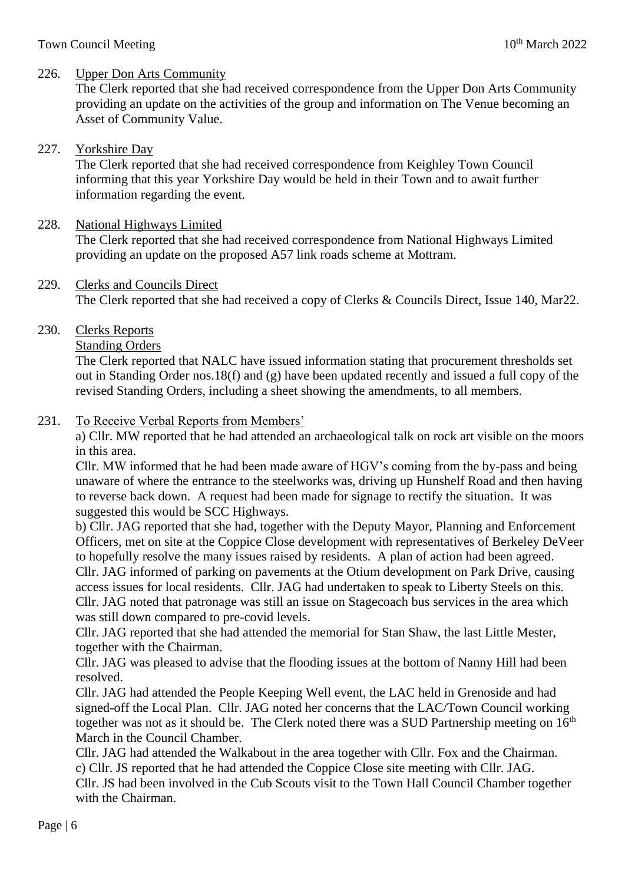### 226. Upper Don Arts Community

The Clerk reported that she had received correspondence from the Upper Don Arts Community providing an update on the activities of the group and information on The Venue becoming an Asset of Community Value.

### 227. Yorkshire Day

The Clerk reported that she had received correspondence from Keighley Town Council informing that this year Yorkshire Day would be held in their Town and to await further information regarding the event.

#### 228. National Highways Limited

The Clerk reported that she had received correspondence from National Highways Limited providing an update on the proposed A57 link roads scheme at Mottram.

#### 229. Clerks and Councils Direct

The Clerk reported that she had received a copy of Clerks & Councils Direct, Issue 140, Mar22.

230. Clerks Reports

#### Standing Orders

The Clerk reported that NALC have issued information stating that procurement thresholds set out in Standing Order nos.18(f) and (g) have been updated recently and issued a full copy of the revised Standing Orders, including a sheet showing the amendments, to all members.

## 231. To Receive Verbal Reports from Members'

a) Cllr. MW reported that he had attended an archaeological talk on rock art visible on the moors in this area.

Cllr. MW informed that he had been made aware of HGV's coming from the by-pass and being unaware of where the entrance to the steelworks was, driving up Hunshelf Road and then having to reverse back down. A request had been made for signage to rectify the situation. It was suggested this would be SCC Highways.

b) Cllr. JAG reported that she had, together with the Deputy Mayor, Planning and Enforcement Officers, met on site at the Coppice Close development with representatives of Berkeley DeVeer to hopefully resolve the many issues raised by residents. A plan of action had been agreed. Cllr. JAG informed of parking on pavements at the Otium development on Park Drive, causing access issues for local residents. Cllr. JAG had undertaken to speak to Liberty Steels on this. Cllr. JAG noted that patronage was still an issue on Stagecoach bus services in the area which was still down compared to pre-covid levels.

Cllr. JAG reported that she had attended the memorial for Stan Shaw, the last Little Mester, together with the Chairman.

Cllr. JAG was pleased to advise that the flooding issues at the bottom of Nanny Hill had been resolved.

Cllr. JAG had attended the People Keeping Well event, the LAC held in Grenoside and had signed-off the Local Plan. Cllr. JAG noted her concerns that the LAC/Town Council working together was not as it should be. The Clerk noted there was a SUD Partnership meeting on  $16<sup>th</sup>$ March in the Council Chamber.

Cllr. JAG had attended the Walkabout in the area together with Cllr. Fox and the Chairman. c) Cllr. JS reported that he had attended the Coppice Close site meeting with Cllr. JAG. Cllr. JS had been involved in the Cub Scouts visit to the Town Hall Council Chamber together with the Chairman.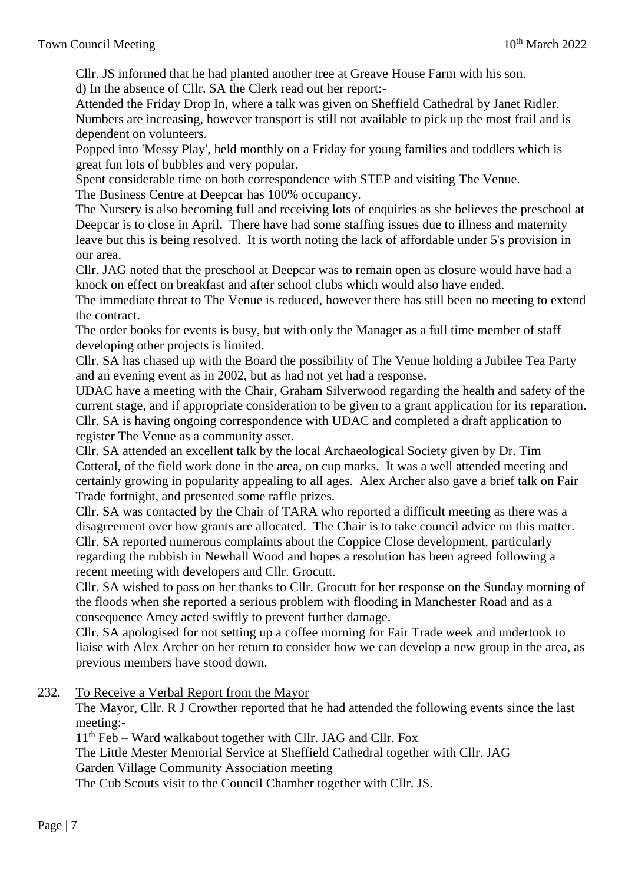Cllr. JS informed that he had planted another tree at Greave House Farm with his son. d) In the absence of Cllr. SA the Clerk read out her report:-

Attended the Friday Drop In, where a talk was given on Sheffield Cathedral by Janet Ridler. Numbers are increasing, however transport is still not available to pick up the most frail and is dependent on volunteers.

Popped into 'Messy Play', held monthly on a Friday for young families and toddlers which is great fun lots of bubbles and very popular.

Spent considerable time on both correspondence with STEP and visiting The Venue. The Business Centre at Deepcar has 100% occupancy.

The Nursery is also becoming full and receiving lots of enquiries as she believes the preschool at Deepcar is to close in April. There have had some staffing issues due to illness and maternity leave but this is being resolved. It is worth noting the lack of affordable under 5's provision in our area.

Cllr. JAG noted that the preschool at Deepcar was to remain open as closure would have had a knock on effect on breakfast and after school clubs which would also have ended.

The immediate threat to The Venue is reduced, however there has still been no meeting to extend the contract.

The order books for events is busy, but with only the Manager as a full time member of staff developing other projects is limited.

Cllr. SA has chased up with the Board the possibility of The Venue holding a Jubilee Tea Party and an evening event as in 2002, but as had not yet had a response.

UDAC have a meeting with the Chair, Graham Silverwood regarding the health and safety of the current stage, and if appropriate consideration to be given to a grant application for its reparation. Cllr. SA is having ongoing correspondence with UDAC and completed a draft application to register The Venue as a community asset.

Cllr. SA attended an excellent talk by the local Archaeological Society given by Dr. Tim Cotteral, of the field work done in the area, on cup marks. It was a well attended meeting and certainly growing in popularity appealing to all ages. Alex Archer also gave a brief talk on Fair Trade fortnight, and presented some raffle prizes.

Cllr. SA was contacted by the Chair of TARA who reported a difficult meeting as there was a disagreement over how grants are allocated. The Chair is to take council advice on this matter. Cllr. SA reported numerous complaints about the Coppice Close development, particularly regarding the rubbish in Newhall Wood and hopes a resolution has been agreed following a recent meeting with developers and Cllr. Grocutt.

Cllr. SA wished to pass on her thanks to Cllr. Grocutt for her response on the Sunday morning of the floods when she reported a serious problem with flooding in Manchester Road and as a consequence Amey acted swiftly to prevent further damage.

Cllr. SA apologised for not setting up a coffee morning for Fair Trade week and undertook to liaise with Alex Archer on her return to consider how we can develop a new group in the area, as previous members have stood down.

232. To Receive a Verbal Report from the Mayor

The Mayor, Cllr. R J Crowther reported that he had attended the following events since the last meeting:-

 $11<sup>th</sup>$  Feb – Ward walkabout together with Cllr. JAG and Cllr. Fox

The Little Mester Memorial Service at Sheffield Cathedral together with Cllr. JAG Garden Village Community Association meeting

The Cub Scouts visit to the Council Chamber together with Cllr. JS.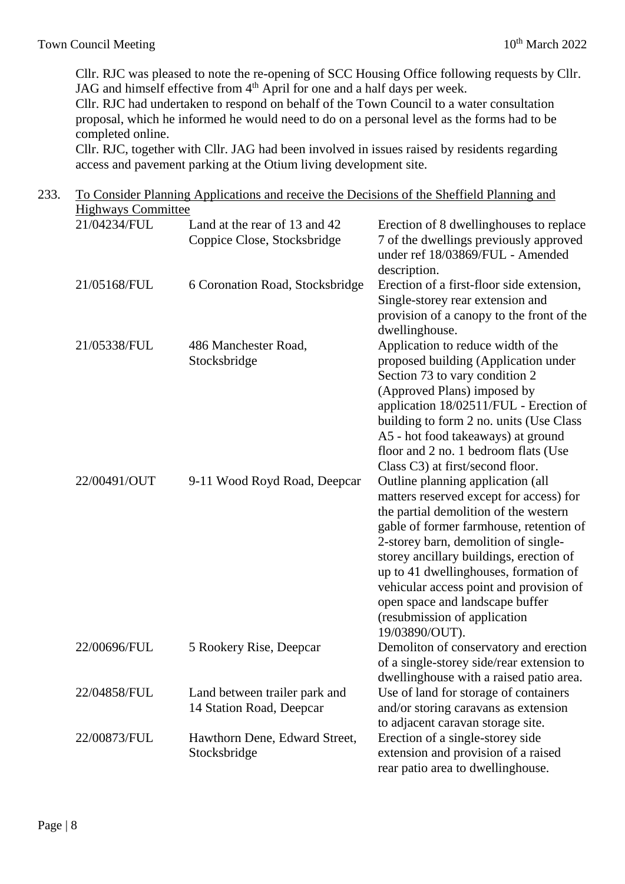Cllr. RJC was pleased to note the re-opening of SCC Housing Office following requests by Cllr. JAG and himself effective from 4<sup>th</sup> April for one and a half days per week.

Cllr. RJC had undertaken to respond on behalf of the Town Council to a water consultation proposal, which he informed he would need to do on a personal level as the forms had to be completed online.

Cllr. RJC, together with Cllr. JAG had been involved in issues raised by residents regarding access and pavement parking at the Otium living development site.

| 233. | To Consider Planning Applications and receive the Decisions of the Sheffield Planning and |                                                              |                                                                                                                                                                                                                                                                                                                                                                                                                              |  |  |  |  |  |  |
|------|-------------------------------------------------------------------------------------------|--------------------------------------------------------------|------------------------------------------------------------------------------------------------------------------------------------------------------------------------------------------------------------------------------------------------------------------------------------------------------------------------------------------------------------------------------------------------------------------------------|--|--|--|--|--|--|
|      | <b>Highways Committee</b><br>21/04234/FUL                                                 | Land at the rear of 13 and 42<br>Coppice Close, Stocksbridge | Erection of 8 dwellinghouses to replace<br>7 of the dwellings previously approved<br>under ref 18/03869/FUL - Amended                                                                                                                                                                                                                                                                                                        |  |  |  |  |  |  |
|      | 21/05168/FUL                                                                              | 6 Coronation Road, Stocksbridge                              | description.<br>Erection of a first-floor side extension,<br>Single-storey rear extension and<br>provision of a canopy to the front of the                                                                                                                                                                                                                                                                                   |  |  |  |  |  |  |
|      | 21/05338/FUL                                                                              | 486 Manchester Road,<br>Stocksbridge                         | dwellinghouse.<br>Application to reduce width of the<br>proposed building (Application under<br>Section 73 to vary condition 2<br>(Approved Plans) imposed by<br>application 18/02511/FUL - Erection of<br>building to form 2 no. units (Use Class<br>A5 - hot food takeaways) at ground<br>floor and 2 no. 1 bedroom flats (Use<br>Class C3) at first/second floor.                                                         |  |  |  |  |  |  |
|      | 22/00491/OUT                                                                              | 9-11 Wood Royd Road, Deepcar                                 | Outline planning application (all<br>matters reserved except for access) for<br>the partial demolition of the western<br>gable of former farmhouse, retention of<br>2-storey barn, demolition of single-<br>storey ancillary buildings, erection of<br>up to 41 dwellinghouses, formation of<br>vehicular access point and provision of<br>open space and landscape buffer<br>(resubmission of application<br>19/03890/OUT). |  |  |  |  |  |  |
|      | 22/00696/FUL                                                                              | 5 Rookery Rise, Deepcar                                      | Demoliton of conservatory and erection<br>of a single-storey side/rear extension to<br>dwellinghouse with a raised patio area.                                                                                                                                                                                                                                                                                               |  |  |  |  |  |  |
|      | 22/04858/FUL                                                                              | Land between trailer park and<br>14 Station Road, Deepcar    | Use of land for storage of containers<br>and/or storing caravans as extension<br>to adjacent caravan storage site.                                                                                                                                                                                                                                                                                                           |  |  |  |  |  |  |
|      | 22/00873/FUL                                                                              | Hawthorn Dene, Edward Street,<br>Stocksbridge                | Erection of a single-storey side<br>extension and provision of a raised<br>rear patio area to dwellinghouse.                                                                                                                                                                                                                                                                                                                 |  |  |  |  |  |  |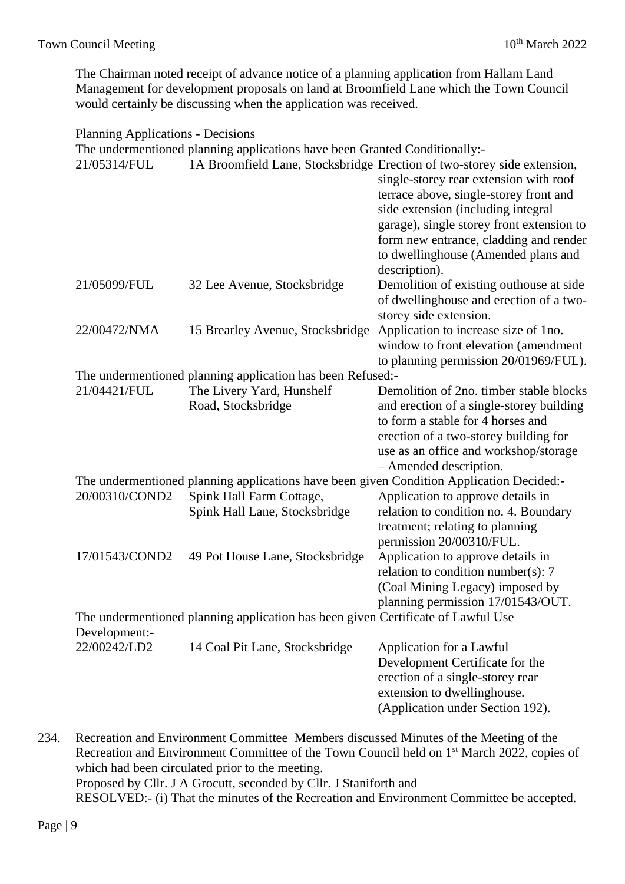The Chairman noted receipt of advance notice of a planning application from Hallam Land Management for development proposals on land at Broomfield Lane which the Town Council would certainly be discussing when the application was received.

#### Planning Applications - Decisions

|                | The undermentioned planning applications have been Granted Conditionally:-       |                                                                                                                                                                                                                                                                                                                                                  |
|----------------|----------------------------------------------------------------------------------|--------------------------------------------------------------------------------------------------------------------------------------------------------------------------------------------------------------------------------------------------------------------------------------------------------------------------------------------------|
| 21/05314/FUL   |                                                                                  | 1A Broomfield Lane, Stocksbridge Erection of two-storey side extension,<br>single-storey rear extension with roof<br>terrace above, single-storey front and<br>side extension (including integral<br>garage), single storey front extension to<br>form new entrance, cladding and render<br>to dwellinghouse (Amended plans and<br>description). |
| 21/05099/FUL   | 32 Lee Avenue, Stocksbridge                                                      | Demolition of existing outhouse at side<br>of dwellinghouse and erection of a two-<br>storey side extension.                                                                                                                                                                                                                                     |
| 22/00472/NMA   | 15 Brearley Avenue, Stocksbridge                                                 | Application to increase size of 1 no.<br>window to front elevation (amendment<br>to planning permission 20/01969/FUL).                                                                                                                                                                                                                           |
|                | The undermentioned planning application has been Refused:-                       |                                                                                                                                                                                                                                                                                                                                                  |
| 21/04421/FUL   | The Livery Yard, Hunshelf<br>Road, Stocksbridge                                  | Demolition of 2no. timber stable blocks<br>and erection of a single-storey building<br>to form a stable for 4 horses and<br>erection of a two-storey building for<br>use as an office and workshop/storage<br>- Amended description.                                                                                                             |
|                |                                                                                  | The undermentioned planning applications have been given Condition Application Decided:-                                                                                                                                                                                                                                                         |
| 20/00310/COND2 | Spink Hall Farm Cottage,<br>Spink Hall Lane, Stocksbridge                        | Application to approve details in<br>relation to condition no. 4. Boundary<br>treatment; relating to planning<br>permission 20/00310/FUL.                                                                                                                                                                                                        |
| 17/01543/COND2 | 49 Pot House Lane, Stocksbridge                                                  | Application to approve details in<br>relation to condition number(s): $7$<br>(Coal Mining Legacy) imposed by<br>planning permission 17/01543/OUT.                                                                                                                                                                                                |
| Development:-  | The undermentioned planning application has been given Certificate of Lawful Use |                                                                                                                                                                                                                                                                                                                                                  |
| 22/00242/LD2   | 14 Coal Pit Lane, Stocksbridge                                                   | Application for a Lawful<br>Development Certificate for the<br>erection of a single-storey rear<br>extension to dwellinghouse.<br>(Application under Section 192).                                                                                                                                                                               |

234. Recreation and Environment Committee Members discussed Minutes of the Meeting of the Recreation and Environment Committee of the Town Council held on 1<sup>st</sup> March 2022, copies of which had been circulated prior to the meeting. Proposed by Cllr. J A Grocutt, seconded by Cllr. J Staniforth and RESOLVED:- (i) That the minutes of the Recreation and Environment Committee be accepted.